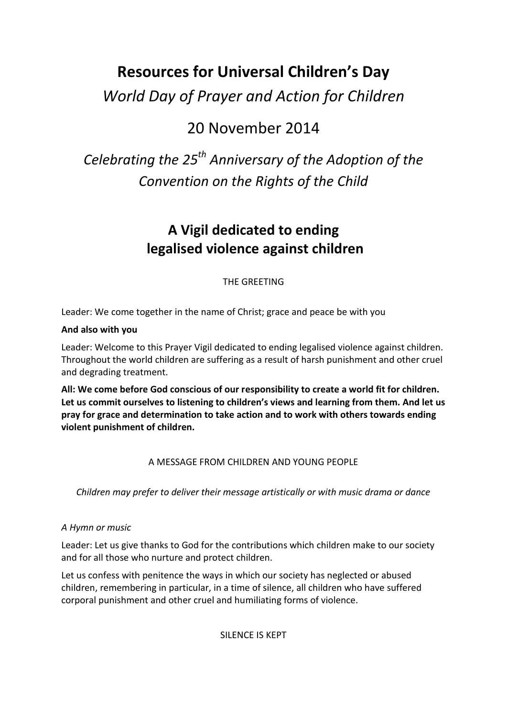# **Resources for Universal Children's Day**

*World Day of Prayer and Action for Children*

# 20 November 2014

# *Celebrating the 25th Anniversary of the Adoption of the Convention on the Rights of the Child*

## **A Vigil dedicated to ending legalised violence against children**

THE GREETING

Leader: We come together in the name of Christ; grace and peace be with you

## **And also with you**

Leader: Welcome to this Prayer Vigil dedicated to ending legalised violence against children. Throughout the world children are suffering as a result of harsh punishment and other cruel and degrading treatment.

**All: We come before God conscious of our responsibility to create a world fit for children. Let us commit ourselves to listening to children's views and learning from them. And let us pray for grace and determination to take action and to work with others towards ending violent punishment of children.** 

## A MESSAGE FROM CHILDREN AND YOUNG PEOPLE

*Children may prefer to deliver their message artistically or with music drama or dance*

## *A Hymn or music*

Leader: Let us give thanks to God for the contributions which children make to our society and for all those who nurture and protect children.

Let us confess with penitence the ways in which our society has neglected or abused children, remembering in particular, in a time of silence, all children who have suffered corporal punishment and other cruel and humiliating forms of violence.

SILENCE IS KEPT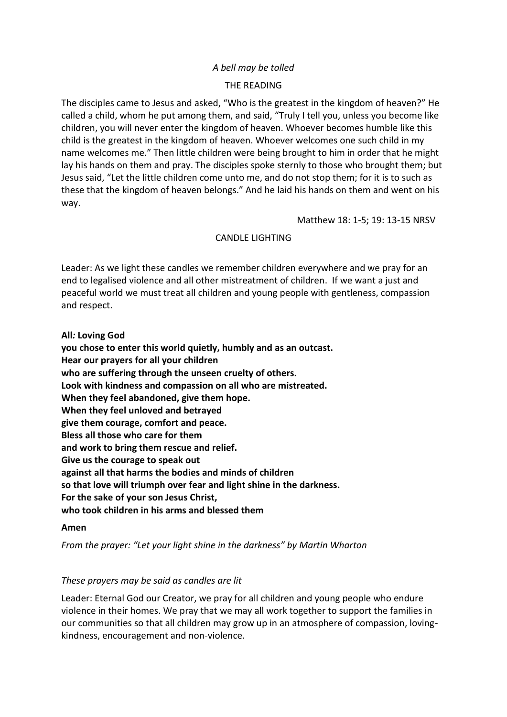#### *A bell may be tolled*

#### THE READING

The disciples came to Jesus and asked, "Who is the greatest in the kingdom of heaven?" He called a child, whom he put among them, and said, "Truly I tell you, unless you become like children, you will never enter the kingdom of heaven. Whoever becomes humble like this child is the greatest in the kingdom of heaven. Whoever welcomes one such child in my name welcomes me." Then little children were being brought to him in order that he might lay his hands on them and pray. The disciples spoke sternly to those who brought them; but Jesus said, "Let the little children come unto me, and do not stop them; for it is to such as these that the kingdom of heaven belongs." And he laid his hands on them and went on his way.

Matthew 18: 1-5; 19: 13-15 NRSV

#### CANDLE LIGHTING

Leader: As we light these candles we remember children everywhere and we pray for an end to legalised violence and all other mistreatment of children. If we want a just and peaceful world we must treat all children and young people with gentleness, compassion and respect.

**All***:* **Loving God** 

**you chose to enter this world quietly, humbly and as an outcast. Hear our prayers for all your children who are suffering through the unseen cruelty of others. Look with kindness and compassion on all who are mistreated. When they feel abandoned, give them hope. When they feel unloved and betrayed give them courage, comfort and peace. Bless all those who care for them and work to bring them rescue and relief. Give us the courage to speak out against all that harms the bodies and minds of children so that love will triumph over fear and light shine in the darkness. For the sake of your son Jesus Christ, who took children in his arms and blessed them**

#### **Amen**

*From the prayer: "Let your light shine in the darkness" by Martin Wharton*

#### *These prayers may be said as candles are lit*

Leader: Eternal God our Creator, we pray for all children and young people who endure violence in their homes. We pray that we may all work together to support the families in our communities so that all children may grow up in an atmosphere of compassion, lovingkindness, encouragement and non-violence.